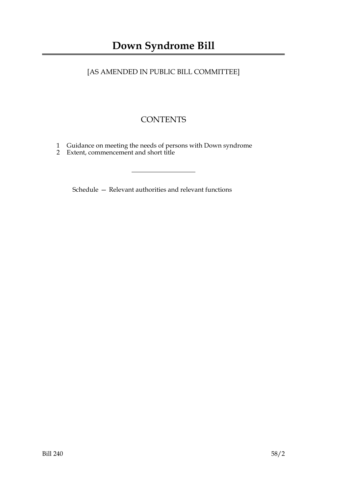# [AS AMENDED IN PUBLIC BILL COMMITTEE]

# **CONTENTS**

- 1 Guidance on meeting the needs of persons with Down syndrome
- 2 Extent, commencement and short title

Schedule — Relevant authorities and relevant functions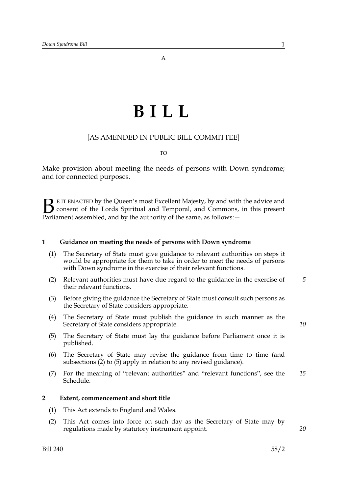# **BILL**

### [AS AMENDED IN PUBLIC BILL COMMITTEE]

#### TO

Make provision about meeting the needs of persons with Down syndrome; and for connected purposes.

E IT ENACTED by the Queen's most Excellent Majesty, by and with the advice and consent of the Lords Spiritual and Temporal, and Commons, in this present **B** E IT ENACTED by the Queen's most Excellent Majesty, by and with consent of the Lords Spiritual and Temporal, and Commons, Parliament assembled, and by the authority of the same, as follows:  $-$ 

#### **1 Guidance on meeting the needs of persons with Down syndrome**

- (1) The Secretary of State must give guidance to relevant authorities on steps it would be appropriate for them to take in order to meet the needs of persons with Down syndrome in the exercise of their relevant functions.
- (2) Relevant authorities must have due regard to the guidance in the exercise of their relevant functions. *5*
- (3) Before giving the guidance the Secretary of State must consult such persons as the Secretary of State considers appropriate.
- (4) The Secretary of State must publish the guidance in such manner as the Secretary of State considers appropriate.
- (5) The Secretary of State must lay the guidance before Parliament once it is published.
- (6) The Secretary of State may revise the guidance from time to time (and subsections (2) to (5) apply in relation to any revised guidance).
- (7) For the meaning of "relevant authorities" and "relevant functions", see the Schedule. *15*

#### **2 Extent, commencement and short title**

- (1) This Act extends to England and Wales.
- (2) This Act comes into force on such day as the Secretary of State may by regulations made by statutory instrument appoint.

*20*

*10*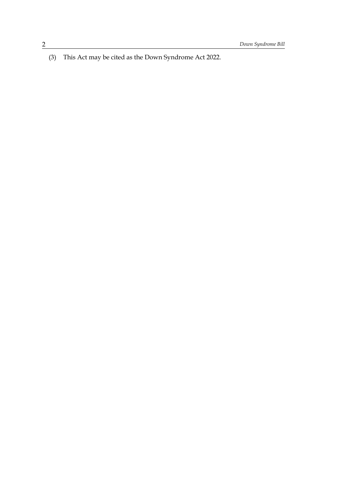(3) This Act may be cited as the Down Syndrome Act 2022.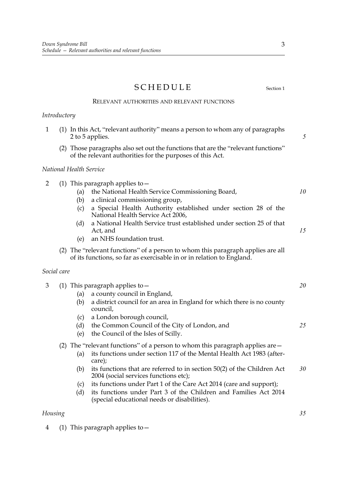# SCHEDULE Section 1

RELEVANT AUTHORITIES AND RELEVANT FUNCTIONS

# *Introductory*

| $\mathbf{1}$   | (1) In this Act, "relevant authority" means a person to whom any of paragraphs<br>2 to 5 applies.                                                                                                                                                                                                                                                                                                                                | 5        |
|----------------|----------------------------------------------------------------------------------------------------------------------------------------------------------------------------------------------------------------------------------------------------------------------------------------------------------------------------------------------------------------------------------------------------------------------------------|----------|
|                | (2) Those paragraphs also set out the functions that are the "relevant functions"<br>of the relevant authorities for the purposes of this Act.                                                                                                                                                                                                                                                                                   |          |
|                | National Health Service                                                                                                                                                                                                                                                                                                                                                                                                          |          |
| $\overline{2}$ | (1) This paragraph applies to $-$<br>the National Health Service Commissioning Board,<br>(a)<br>(b)<br>a clinical commissioning group,<br>a Special Health Authority established under section 28 of the<br>(c)<br>National Health Service Act 2006,<br>a National Health Service trust established under section 25 of that<br>(d)<br>Act, and<br>an NHS foundation trust.<br>(e)                                               | 10<br>15 |
|                | (2) The "relevant functions" of a person to whom this paragraph applies are all<br>of its functions, so far as exercisable in or in relation to England.                                                                                                                                                                                                                                                                         |          |
| Social care    |                                                                                                                                                                                                                                                                                                                                                                                                                                  |          |
| 3              | (1) This paragraph applies to $-$<br>a county council in England,<br>(a)<br>(b)<br>a district council for an area in England for which there is no county<br>council,<br>a London borough council,<br>(c)<br>the Common Council of the City of London, and<br>(d)                                                                                                                                                                | 20<br>25 |
|                | the Council of the Isles of Scilly.<br>(e)<br>(2) The "relevant functions" of a person to whom this paragraph applies are $-$<br>its functions under section 117 of the Mental Health Act 1983 (after-<br>(a)<br>care);<br>its functions that are referred to in section 50(2) of the Children Act<br>(b)<br>2004 (social services functions etc);<br>its functions under Part 1 of the Care Act 2014 (care and support);<br>(c) | 30       |
| Housing        | its functions under Part 3 of the Children and Families Act 2014<br>(d)<br>(special educational needs or disabilities).                                                                                                                                                                                                                                                                                                          | 35       |

4 (1) This paragraph applies to—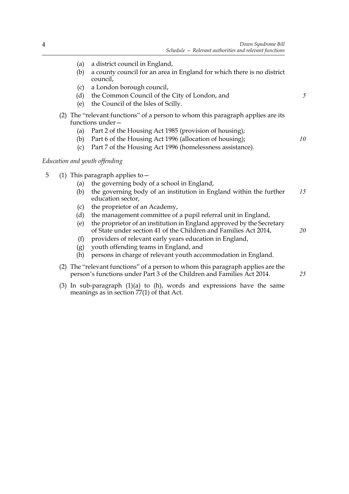*5*

*10*

*20*

*25*

- (a) a district council in England,
- (b) a county council for an area in England for which there is no district council,
- (c) a London borough council,
- (d) the Common Council of the City of London, and
- (e) the Council of the Isles of Scilly.
- (2) The "relevant functions" of a person to whom this paragraph applies are its functions under—
	- (a) Part 2 of the Housing Act 1985 (provision of housing);
	- (b) Part 6 of the Housing Act 1996 (allocation of housing);
	- (c) Part 7 of the Housing Act 1996 (homelessness assistance).

#### *Education and youth offending*

- 5 (1) This paragraph applies to—
	- (a) the governing body of a school in England,
	- (b) the governing body of an institution in England within the further education sector, *15*
	- (c) the proprietor of an Academy,
	- (d) the management committee of a pupil referral unit in England,
	- (e) the proprietor of an institution in England approved by the Secretary of State under section 41 of the Children and Families Act 2014,
	- (f) providers of relevant early years education in England,
	- (g) youth offending teams in England, and
	- (h) persons in charge of relevant youth accommodation in England.
	- (2) The "relevant functions" of a person to whom this paragraph applies are the person's functions under Part 3 of the Children and Families Act 2014.
	- (3) In sub-paragraph (1)(a) to (h), words and expressions have the same meanings as in section 77(1) of that Act.